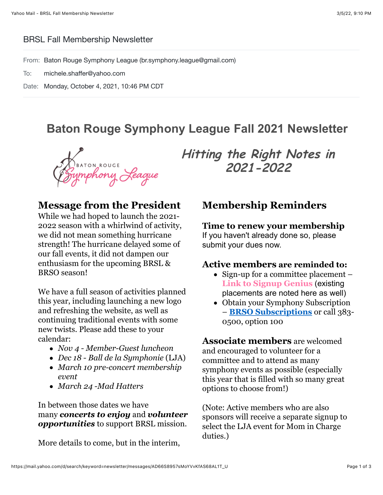#### BRSL Fall Membership Newsletter

From: Baton Rouge Symphony League (br.symphony.league@gmail.com)

To: michele.shaffer@yahoo.com

Date: Monday, October 4, 2021, 10:46 PM CDT

# **Baton Rouge Symphony League Fall 2021 Newsletter**

D<sub>BATON ROUGE</sub><br>Tymphony *Reaque* 

### **Message from the President**

While we had hoped to launch the 2021- 2022 season with a whirlwind of activity, we did not mean something hurricane strength! The hurricane delayed some of our fall events, it did not dampen our enthusiasm for the upcoming BRSL & BRSO season!

We have a full season of activities planned this year, including launching a new logo and refreshing the website, as well as continuing traditional events with some new twists. Please add these to your calendar:

- *Nov 4 Member-Guest luncheon*
- *Dec 18 Ball de la Symphonie* (LJA)
- *March 10 pre-concert membership event*
- *March 24 -Mad Hatters*

In between those dates we have many *concerts to enjoy* and *volunteer opportunities* to support BRSL mission.

More details to come, but in the interim,

**Hitting the Right Notes in 2021-2022**

### **Membership Reminders**

#### **Time to renew your membership**

If you haven't already done so, please submit your dues now.

#### **Active members are reminded to:**

- Sign-up for a committee placement **[Link to Signup Genius](https://r20.rs6.net/tn.jsp?f=001W9gFITdykiURi327fQ7i7yeB5CH3MS7c40YhfPGAyooVjTNvEl2q22d6mY_blgJVfsLLLNq0hLnAGAYFv7V9pHBkHF_6yfn_2cbyHCujMUcD16iEKP9hWRI2RGr1o1s4qH9640HWhxxq0tsRHNGral8KOCwbTurVBQM3q-AexSkIM7n064BvShU23p_oIlJT&c=9GZWWU9i0WTv2yAIy-MTIVEyGwhS2f8bDfdCwKGorrU3rPdmMlGOKg==&ch=3zhVssIfh9SL1Is-h2VEMykyA3It4hFhcbICgM88bRzF2FXz3xZ_tA==)** (existing placements are noted here as well)
- Obtain your Symphony Subscription – **[BRSO Subscriptions](https://r20.rs6.net/tn.jsp?f=001W9gFITdykiURi327fQ7i7yeB5CH3MS7c40YhfPGAyooVjTNvEl2q2_8ijDhEX_a31EdCPAjJeqJ-TDjyPAMj6P95i0rirKL3R8eXAm32AEbFdM-nXe7iPWdw0tYqD5zle07hhrRjMfnSpexPWFKeczX-0vD4X-I-&c=9GZWWU9i0WTv2yAIy-MTIVEyGwhS2f8bDfdCwKGorrU3rPdmMlGOKg==&ch=3zhVssIfh9SL1Is-h2VEMykyA3It4hFhcbICgM88bRzF2FXz3xZ_tA==)** or call 383- 0500, option 100

**Associate members** are welcomed and encouraged to volunteer for a committee and to attend as many symphony events as possible (especially this year that is filled with so many great options to choose from!)

(Note: Active members who are also sponsors will receive a separate signup to select the LJA event for Mom in Charge duties.)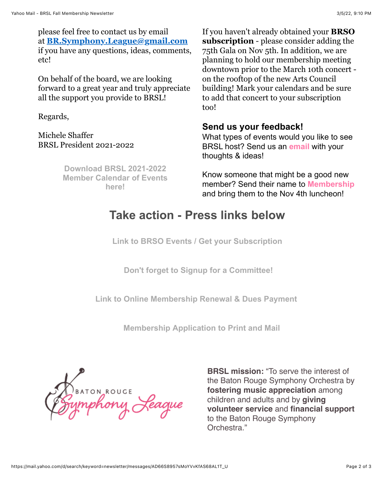please feel free to contact us by email at **[BR.Symphony.League@gmail.com](mailto:BR.Symphony.League@gmail.com)** if you have any questions, ideas, comments, etc!

On behalf of the board, we are looking forward to a great year and truly appreciate all the support you provide to BRSL!

Regards,

Michele Shaffer BRSL President 2021-2022

> **Download BRSL 2021-2022 [Member Calendar of Events](https://r20.rs6.net/tn.jsp?f=001W9gFITdykiURi327fQ7i7yeB5CH3MS7c40YhfPGAyooVjTNvEl2q2_8ijDhEX_a3ouT4RoFmIzJ3QNeqWZBkMfEq6szZ8swutTJqSHqW7iIAaiS1JZmOw2XrXJGkBosY_sLYrNZQf7Ptl4EoZCeqwyznEOeC-KRkyDZc9hrbo6M0BsS8yHnu1pO7YSpHpnM0HIasIE1KN2T91Fi6Wge0bfom1Lb8JOTUDLIsR2g97TE=&c=9GZWWU9i0WTv2yAIy-MTIVEyGwhS2f8bDfdCwKGorrU3rPdmMlGOKg==&ch=3zhVssIfh9SL1Is-h2VEMykyA3It4hFhcbICgM88bRzF2FXz3xZ_tA==) here!**

If you haven't already obtained your **BRSO subscription** - please consider adding the 75th Gala on Nov 5th. In addition, we are planning to hold our membership meeting downtown prior to the March 10th concert on the rooftop of the new Arts Council building! Mark your calendars and be sure to add that concert to your subscription too!

#### **Send us your feedback!**

What types of events would you like to see BRSL host? Send us an **[email](mailto:br.symphony.league@gmail.com)** with your thoughts & ideas!

Know someone that might be a good new member? Send their name to **[Membership](mailto:br.symphony.league@gmail.com)** and bring them to the Nov 4th luncheon!

# **Take action - Press links below**

 **[Link to BRSO Events / Get your Subscription](https://r20.rs6.net/tn.jsp?f=001W9gFITdykiURi327fQ7i7yeB5CH3MS7c40YhfPGAyooVjTNvEl2q2_8ijDhEX_a3lNPh7QuRfPtrmuvBo-t51WnRWQMvug8xjXx6XtqYH8oeI6erk53TzywkiCPjb7cIy1nE5AGnBRooEYspfVAdTNuJ8TPaQYZZ&c=9GZWWU9i0WTv2yAIy-MTIVEyGwhS2f8bDfdCwKGorrU3rPdmMlGOKg==&ch=3zhVssIfh9SL1Is-h2VEMykyA3It4hFhcbICgM88bRzF2FXz3xZ_tA==)** 

 **[Don't forget to Signup for a Committee!](https://r20.rs6.net/tn.jsp?f=001W9gFITdykiURi327fQ7i7yeB5CH3MS7c40YhfPGAyooVjTNvEl2q22d6mY_blgJVfsLLLNq0hLnAGAYFv7V9pHBkHF_6yfn_2cbyHCujMUcD16iEKP9hWRI2RGr1o1s4qH9640HWhxxq0tsRHNGral8KOCwbTurVBQM3q-AexSkIM7n064BvShU23p_oIlJT&c=9GZWWU9i0WTv2yAIy-MTIVEyGwhS2f8bDfdCwKGorrU3rPdmMlGOKg==&ch=3zhVssIfh9SL1Is-h2VEMykyA3It4hFhcbICgM88bRzF2FXz3xZ_tA==)** 

**[Link to Online Membership Renewal & Dues Payment](https://r20.rs6.net/tn.jsp?f=001W9gFITdykiURi327fQ7i7yeB5CH3MS7c40YhfPGAyooVjTNvEl2q2_8ijDhEX_a35fV36mYVmcy_1UZovPGOLX3BLtpq9b5PkH4OG3Bo9FKyRjbb07wAZScio8Xbn5oP7AHNyZ70txWIAsKxFm0x77d3mLYT6RYf-vWQAl8PinZfaZFgTMez4CH7jUwmt9vpMYemWExz944=&c=9GZWWU9i0WTv2yAIy-MTIVEyGwhS2f8bDfdCwKGorrU3rPdmMlGOKg==&ch=3zhVssIfh9SL1Is-h2VEMykyA3It4hFhcbICgM88bRzF2FXz3xZ_tA==)** 

 **[Membership Application to Print and Mail](https://r20.rs6.net/tn.jsp?f=001W9gFITdykiURi327fQ7i7yeB5CH3MS7c40YhfPGAyooVjTNvEl2q2_8ijDhEX_a3A7Fgsr6bQQGW30dBdixZA-v9ZK7K5gSHnSdWZkpljSm_yb5HQ3Izbtw62B5KxaRpJjU3WTuz7LlQMwuS9cPFRquikIvLiZoqrgmVmGXTkaUImx4ME01uUjobkyN33PdKMo_oloV-8TUDBXjEXkbiZkhUiWEAOtbJ3N9SYumfUZs=&c=9GZWWU9i0WTv2yAIy-MTIVEyGwhS2f8bDfdCwKGorrU3rPdmMlGOKg==&ch=3zhVssIfh9SL1Is-h2VEMykyA3It4hFhcbICgM88bRzF2FXz3xZ_tA==)** 

S<sub>BATON ROUGE</sub><br>ymphony *Reague* 

**BRSL mission:** "To serve the interest of the Baton Rouge Symphony Orchestra by **fostering music appreciation** among children and adults and by **giving volunteer service** and **financial support** to the Baton Rouge Symphony Orchestra."